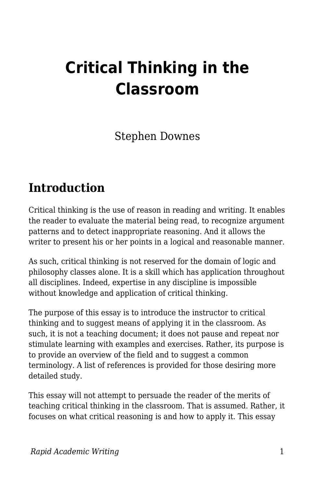# **Critical Thinking in the Classroom**

Stephen Downes

### **Introduction**

Critical thinking is the use of reason in reading and writing. It enables the reader to evaluate the material being read, to recognize argument patterns and to detect inappropriate reasoning. And it allows the writer to present his or her points in a logical and reasonable manner.

As such, critical thinking is not reserved for the domain of logic and philosophy classes alone. It is a skill which has application throughout all disciplines. Indeed, expertise in any discipline is impossible without knowledge and application of critical thinking.

The purpose of this essay is to introduce the instructor to critical thinking and to suggest means of applying it in the classroom. As such, it is not a teaching document; it does not pause and repeat nor stimulate learning with examples and exercises. Rather, its purpose is to provide an overview of the field and to suggest a common terminology. A list of references is provided for those desiring more detailed study.

This essay will not attempt to persuade the reader of the merits of teaching critical thinking in the classroom. That is assumed. Rather, it focuses on what critical reasoning is and how to apply it. This essay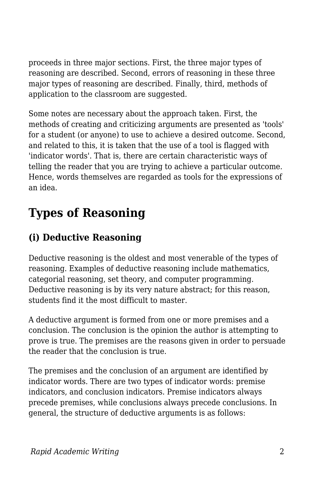proceeds in three major sections. First, the three major types of reasoning are described. Second, errors of reasoning in these three major types of reasoning are described. Finally, third, methods of application to the classroom are suggested.

Some notes are necessary about the approach taken. First, the methods of creating and criticizing arguments are presented as 'tools' for a student (or anyone) to use to achieve a desired outcome. Second, and related to this, it is taken that the use of a tool is flagged with 'indicator words'. That is, there are certain characteristic ways of telling the reader that you are trying to achieve a particular outcome. Hence, words themselves are regarded as tools for the expressions of an idea.

# **Types of Reasoning**

#### **(i) Deductive Reasoning**

Deductive reasoning is the oldest and most venerable of the types of reasoning. Examples of deductive reasoning include mathematics, categorial reasoning, set theory, and computer programming. Deductive reasoning is by its very nature abstract; for this reason, students find it the most difficult to master.

A deductive argument is formed from one or more premises and a conclusion. The conclusion is the opinion the author is attempting to prove is true. The premises are the reasons given in order to persuade the reader that the conclusion is true.

The premises and the conclusion of an argument are identified by indicator words. There are two types of indicator words: premise indicators, and conclusion indicators. Premise indicators always precede premises, while conclusions always precede conclusions. In general, the structure of deductive arguments is as follows: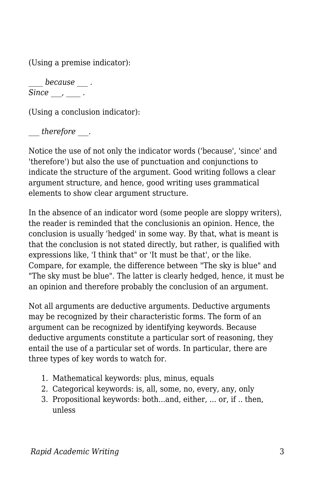(Using a premise indicator):

*\_\_\_\_ because \_\_\_ .*  $Since , \underline{\hspace{1cm}}.$ 

(Using a conclusion indicator):

*\_\_\_ therefore \_\_\_.*

Notice the use of not only the indicator words ('because', 'since' and 'therefore') but also the use of punctuation and conjunctions to indicate the structure of the argument. Good writing follows a clear argument structure, and hence, good writing uses grammatical elements to show clear argument structure.

In the absence of an indicator word (some people are sloppy writers), the reader is reminded that the conclusionis an opinion. Hence, the conclusion is usually 'hedged' in some way. By that, what is meant is that the conclusion is not stated directly, but rather, is qualified with expressions like, 'I think that" or 'It must be that', or the like. Compare, for example, the difference between "The sky is blue" and "The sky must be blue". The latter is clearly hedged, hence, it must be an opinion and therefore probably the conclusion of an argument.

Not all arguments are deductive arguments. Deductive arguments may be recognized by their characteristic forms. The form of an argument can be recognized by identifying keywords. Because deductive arguments constitute a particular sort of reasoning, they entail the use of a particular set of words. In particular, there are three types of key words to watch for.

- 1. Mathematical keywords: plus, minus, equals
- 2. Categorical keywords: is, all, some, no, every, any, only
- 3. Propositional keywords: both...and, either, ... or, if .. then, unless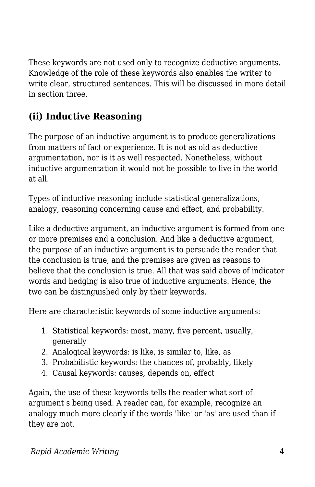These keywords are not used only to recognize deductive arguments. Knowledge of the role of these keywords also enables the writer to write clear, structured sentences. This will be discussed in more detail in section three.

### **(ii) Inductive Reasoning**

The purpose of an inductive argument is to produce generalizations from matters of fact or experience. It is not as old as deductive argumentation, nor is it as well respected. Nonetheless, without inductive argumentation it would not be possible to live in the world at all.

Types of inductive reasoning include statistical generalizations, analogy, reasoning concerning cause and effect, and probability.

Like a deductive argument, an inductive argument is formed from one or more premises and a conclusion. And like a deductive argument, the purpose of an inductive argument is to persuade the reader that the conclusion is true, and the premises are given as reasons to believe that the conclusion is true. All that was said above of indicator words and hedging is also true of inductive arguments. Hence, the two can be distinguished only by their keywords.

Here are characteristic keywords of some inductive arguments:

- 1. Statistical keywords: most, many, five percent, usually, generally
- 2. Analogical keywords: is like, is similar to, like, as
- 3. Probabilistic keywords: the chances of, probably, likely
- 4. Causal keywords: causes, depends on, effect

Again, the use of these keywords tells the reader what sort of argument s being used. A reader can, for example, recognize an analogy much more clearly if the words 'like' or 'as' are used than if they are not.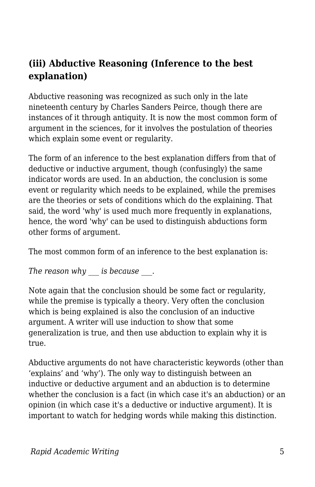#### **(iii) Abductive Reasoning (Inference to the best explanation)**

Abductive reasoning was recognized as such only in the late nineteenth century by Charles Sanders Peirce, though there are instances of it through antiquity. It is now the most common form of argument in the sciences, for it involves the postulation of theories which explain some event or regularity.

The form of an inference to the best explanation differs from that of deductive or inductive argument, though (confusingly) the same indicator words are used. In an abduction, the conclusion is some event or regularity which needs to be explained, while the premises are the theories or sets of conditions which do the explaining. That said, the word 'why' is used much more frequently in explanations, hence, the word 'why' can be used to distinguish abductions form other forms of argument.

The most common form of an inference to the best explanation is:

*The reason why \_\_\_ is because \_\_\_*.

Note again that the conclusion should be some fact or regularity, while the premise is typically a theory. Very often the conclusion which is being explained is also the conclusion of an inductive argument. A writer will use induction to show that some generalization is true, and then use abduction to explain why it is true.

Abductive arguments do not have characteristic keywords (other than 'explains' and 'why'). The only way to distinguish between an inductive or deductive argument and an abduction is to determine whether the conclusion is a fact (in which case it's an abduction) or an opinion (in which case it's a deductive or inductive argument). It is important to watch for hedging words while making this distinction.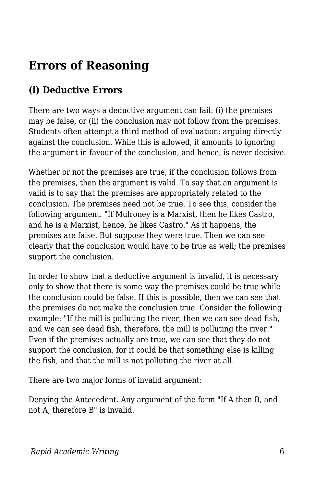### **Errors of Reasoning**

#### **(i) Deductive Errors**

There are two ways a deductive argument can fail: (i) the premises may be false, or (ii) the conclusion may not follow from the premises. Students often attempt a third method of evaluation: arguing directly against the conclusion. While this is allowed, it amounts to ignoring the argument in favour of the conclusion, and hence, is never decisive.

Whether or not the premises are true, if the conclusion follows from the premises, then the argument is valid. To say that an argument is valid is to say that the premises are appropriately related to the conclusion. The premises need not be true. To see this, consider the following argument: "If Mulroney is a Marxist, then he likes Castro, and he is a Marxist, hence, he likes Castro." As it happens, the premises are false. But suppose they were true. Then we can see clearly that the conclusion would have to be true as well; the premises support the conclusion.

In order to show that a deductive argument is invalid, it is necessary only to show that there is some way the premises could be true while the conclusion could be false. If this is possible, then we can see that the premises do not make the conclusion true. Consider the following example: "If the mill is polluting the river, then we can see dead fish, and we can see dead fish, therefore, the mill is polluting the river." Even if the premises actually are true, we can see that they do not support the conclusion, for it could be that something else is killing the fish, and that the mill is not polluting the river at all.

There are two major forms of invalid argument:

Denying the Antecedent. Any argument of the form "If A then B, and not A, therefore B" is invalid.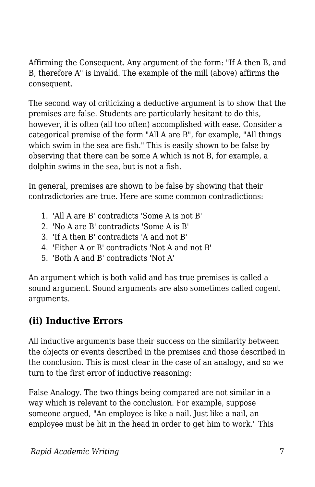Affirming the Consequent. Any argument of the form: "If A then B, and B, therefore A" is invalid. The example of the mill (above) affirms the consequent.

The second way of criticizing a deductive argument is to show that the premises are false. Students are particularly hesitant to do this, however, it is often (all too often) accomplished with ease. Consider a categorical premise of the form "All A are B", for example, "All things which swim in the sea are fish." This is easily shown to be false by observing that there can be some A which is not B, for example, a dolphin swims in the sea, but is not a fish.

In general, premises are shown to be false by showing that their contradictories are true. Here are some common contradictions:

- 1. 'All A are B' contradicts 'Some A is not B'
- 2. 'No A are B' contradicts 'Some A is B'
- 3. 'If A then B' contradicts 'A and not B'
- 4. 'Either A or B' contradicts 'Not A and not B'
- 5. 'Both A and B' contradicts 'Not A'

An argument which is both valid and has true premises is called a sound argument. Sound arguments are also sometimes called cogent arguments.

#### **(ii) Inductive Errors**

All inductive arguments base their success on the similarity between the objects or events described in the premises and those described in the conclusion. This is most clear in the case of an analogy, and so we turn to the first error of inductive reasoning:

False Analogy. The two things being compared are not similar in a way which is relevant to the conclusion. For example, suppose someone argued, "An employee is like a nail. Just like a nail, an employee must be hit in the head in order to get him to work." This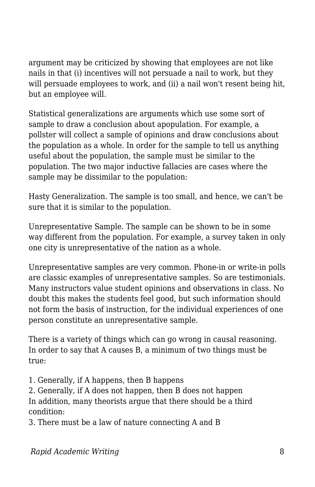argument may be criticized by showing that employees are not like nails in that (i) incentives will not persuade a nail to work, but they will persuade employees to work, and (ii) a nail won't resent being hit, but an employee will.

Statistical generalizations are arguments which use some sort of sample to draw a conclusion about apopulation. For example, a pollster will collect a sample of opinions and draw conclusions about the population as a whole. In order for the sample to tell us anything useful about the population, the sample must be similar to the population. The two major inductive fallacies are cases where the sample may be dissimilar to the population:

Hasty Generalization. The sample is too small, and hence, we can't be sure that it is similar to the population.

Unrepresentative Sample. The sample can be shown to be in some way different from the population. For example, a survey taken in only one city is unrepresentative of the nation as a whole.

Unrepresentative samples are very common. Phone-in or write-in polls are classic examples of unrepresentative samples. So are testimonials. Many instructors value student opinions and observations in class. No doubt this makes the students feel good, but such information should not form the basis of instruction, for the individual experiences of one person constitute an unrepresentative sample.

There is a variety of things which can go wrong in causal reasoning. In order to say that A causes B, a minimum of two things must be true:

1. Generally, if A happens, then B happens

2. Generally, if A does not happen, then B does not happen In addition, many theorists argue that there should be a third condition:

3. There must be a law of nature connecting A and B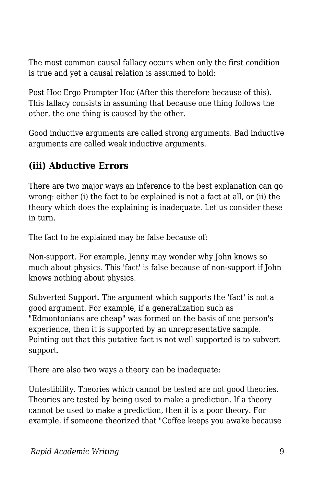The most common causal fallacy occurs when only the first condition is true and yet a causal relation is assumed to hold:

Post Hoc Ergo Prompter Hoc (After this therefore because of this). This fallacy consists in assuming that because one thing follows the other, the one thing is caused by the other.

Good inductive arguments are called strong arguments. Bad inductive arguments are called weak inductive arguments.

#### **(iii) Abductive Errors**

There are two major ways an inference to the best explanation can go wrong: either (i) the fact to be explained is not a fact at all, or (ii) the theory which does the explaining is inadequate. Let us consider these in turn.

The fact to be explained may be false because of:

Non-support. For example, Jenny may wonder why John knows so much about physics. This 'fact' is false because of non-support if John knows nothing about physics.

Subverted Support. The argument which supports the 'fact' is not a good argument. For example, if a generalization such as "Edmontonians are cheap" was formed on the basis of one person's experience, then it is supported by an unrepresentative sample. Pointing out that this putative fact is not well supported is to subvert support.

There are also two ways a theory can be inadequate:

Untestibility. Theories which cannot be tested are not good theories. Theories are tested by being used to make a prediction. If a theory cannot be used to make a prediction, then it is a poor theory. For example, if someone theorized that "Coffee keeps you awake because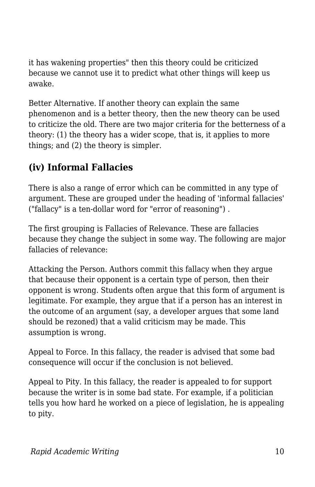it has wakening properties" then this theory could be criticized because we cannot use it to predict what other things will keep us awake.

Better Alternative. If another theory can explain the same phenomenon and is a better theory, then the new theory can be used to criticize the old. There are two major criteria for the betterness of a theory: (1) the theory has a wider scope, that is, it applies to more things; and (2) the theory is simpler.

#### **(iv) Informal Fallacies**

There is also a range of error which can be committed in any type of argument. These are grouped under the heading of 'informal fallacies' ("fallacy" is a ten-dollar word for "error of reasoning") .

The first grouping is Fallacies of Relevance. These are fallacies because they change the subject in some way. The following are major fallacies of relevance:

Attacking the Person. Authors commit this fallacy when they argue that because their opponent is a certain type of person, then their opponent is wrong. Students often argue that this form of argument is legitimate. For example, they argue that if a person has an interest in the outcome of an argument (say, a developer argues that some land should be rezoned) that a valid criticism may be made. This assumption is wrong.

Appeal to Force. In this fallacy, the reader is advised that some bad consequence will occur if the conclusion is not believed.

Appeal to Pity. In this fallacy, the reader is appealed to for support because the writer is in some bad state. For example, if a politician tells you how hard he worked on a piece of legislation, he is appealing to pity.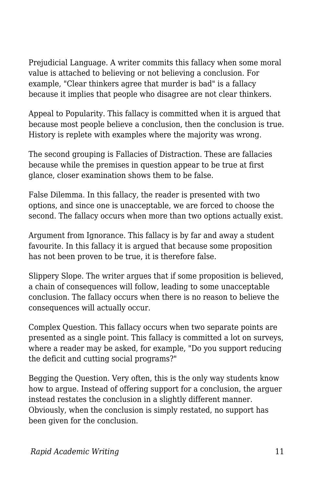Prejudicial Language. A writer commits this fallacy when some moral value is attached to believing or not believing a conclusion. For example, "Clear thinkers agree that murder is bad" is a fallacy because it implies that people who disagree are not clear thinkers.

Appeal to Popularity. This fallacy is committed when it is argued that because most people believe a conclusion, then the conclusion is true. History is replete with examples where the majority was wrong.

The second grouping is Fallacies of Distraction. These are fallacies because while the premises in question appear to be true at first glance, closer examination shows them to be false.

False Dilemma. In this fallacy, the reader is presented with two options, and since one is unacceptable, we are forced to choose the second. The fallacy occurs when more than two options actually exist.

Argument from Ignorance. This fallacy is by far and away a student favourite. In this fallacy it is argued that because some proposition has not been proven to be true, it is therefore false.

Slippery Slope. The writer argues that if some proposition is believed, a chain of consequences will follow, leading to some unacceptable conclusion. The fallacy occurs when there is no reason to believe the consequences will actually occur.

Complex Question. This fallacy occurs when two separate points are presented as a single point. This fallacy is committed a lot on surveys, where a reader may be asked, for example, "Do you support reducing the deficit and cutting social programs?"

Begging the Question. Very often, this is the only way students know how to argue. Instead of offering support for a conclusion, the arguer instead restates the conclusion in a slightly different manner. Obviously, when the conclusion is simply restated, no support has been given for the conclusion.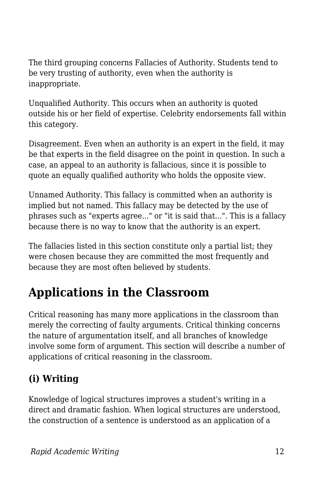The third grouping concerns Fallacies of Authority. Students tend to be very trusting of authority, even when the authority is inappropriate.

Unqualified Authority. This occurs when an authority is quoted outside his or her field of expertise. Celebrity endorsements fall within this category.

Disagreement. Even when an authority is an expert in the field, it may be that experts in the field disagree on the point in question. In such a case, an appeal to an authority is fallacious, since it is possible to quote an equally qualified authority who holds the opposite view.

Unnamed Authority. This fallacy is committed when an authority is implied but not named. This fallacy may be detected by the use of phrases such as "experts agree..." or "it is said that...". This is a fallacy because there is no way to know that the authority is an expert.

The fallacies listed in this section constitute only a partial list; they were chosen because they are committed the most frequently and because they are most often believed by students.

# **Applications in the Classroom**

Critical reasoning has many more applications in the classroom than merely the correcting of faulty arguments. Critical thinking concerns the nature of argumentation itself, and all branches of knowledge involve some form of argument. This section will describe a number of applications of critical reasoning in the classroom.

#### **(i) Writing**

Knowledge of logical structures improves a student's writing in a direct and dramatic fashion. When logical structures are understood, the construction of a sentence is understood as an application of a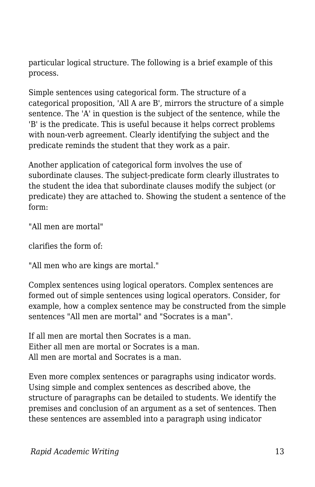particular logical structure. The following is a brief example of this process.

Simple sentences using categorical form. The structure of a categorical proposition, 'All A are B', mirrors the structure of a simple sentence. The 'A' in question is the subject of the sentence, while the 'B' is the predicate. This is useful because it helps correct problems with noun-verb agreement. Clearly identifying the subject and the predicate reminds the student that they work as a pair.

Another application of categorical form involves the use of subordinate clauses. The subject-predicate form clearly illustrates to the student the idea that subordinate clauses modify the subject (or predicate) they are attached to. Showing the student a sentence of the form:

"All men are mortal"

clarifies the form of:

"All men who are kings are mortal."

Complex sentences using logical operators. Complex sentences are formed out of simple sentences using logical operators. Consider, for example, how a complex sentence may be constructed from the simple sentences "All men are mortal" and "Socrates is a man".

If all men are mortal then Socrates is a man. Either all men are mortal or Socrates is a man. All men are mortal and Socrates is a man.

Even more complex sentences or paragraphs using indicator words. Using simple and complex sentences as described above, the structure of paragraphs can be detailed to students. We identify the premises and conclusion of an argument as a set of sentences. Then these sentences are assembled into a paragraph using indicator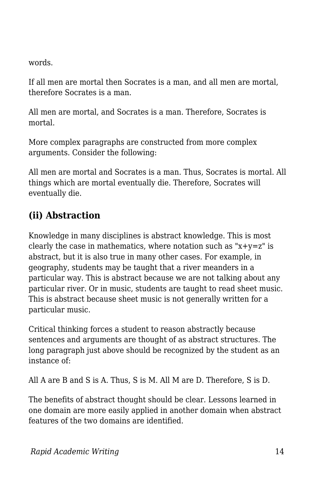words.

If all men are mortal then Socrates is a man, and all men are mortal, therefore Socrates is a man.

All men are mortal, and Socrates is a man. Therefore, Socrates is mortal.

More complex paragraphs are constructed from more complex arguments. Consider the following:

All men are mortal and Socrates is a man. Thus, Socrates is mortal. All things which are mortal eventually die. Therefore, Socrates will eventually die.

#### **(ii) Abstraction**

Knowledge in many disciplines is abstract knowledge. This is most clearly the case in mathematics, where notation such as " $x+y=z$ " is abstract, but it is also true in many other cases. For example, in geography, students may be taught that a river meanders in a particular way. This is abstract because we are not talking about any particular river. Or in music, students are taught to read sheet music. This is abstract because sheet music is not generally written for a particular music.

Critical thinking forces a student to reason abstractly because sentences and arguments are thought of as abstract structures. The long paragraph just above should be recognized by the student as an instance of:

All A are B and S is A. Thus, S is M. All M are D. Therefore, S is D.

The benefits of abstract thought should be clear. Lessons learned in one domain are more easily applied in another domain when abstract features of the two domains are identified.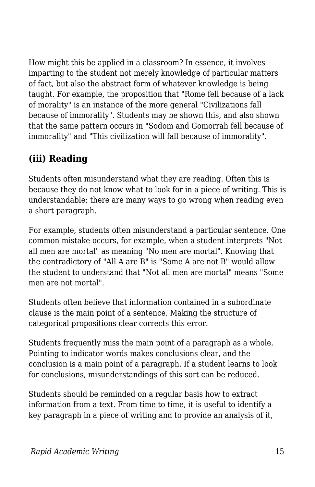How might this be applied in a classroom? In essence, it involves imparting to the student not merely knowledge of particular matters of fact, but also the abstract form of whatever knowledge is being taught. For example, the proposition that "Rome fell because of a lack of morality" is an instance of the more general "Civilizations fall because of immorality". Students may be shown this, and also shown that the same pattern occurs in "Sodom and Gomorrah fell because of immorality" and "This civilization will fall because of immorality".

### **(iii) Reading**

Students often misunderstand what they are reading. Often this is because they do not know what to look for in a piece of writing. This is understandable; there are many ways to go wrong when reading even a short paragraph.

For example, students often misunderstand a particular sentence. One common mistake occurs, for example, when a student interprets "Not all men are mortal" as meaning "No men are mortal". Knowing that the contradictory of "All A are B" is "Some A are not B" would allow the student to understand that "Not all men are mortal" means "Some men are not mortal".

Students often believe that information contained in a subordinate clause is the main point of a sentence. Making the structure of categorical propositions clear corrects this error.

Students frequently miss the main point of a paragraph as a whole. Pointing to indicator words makes conclusions clear, and the conclusion is a main point of a paragraph. If a student learns to look for conclusions, misunderstandings of this sort can be reduced.

Students should be reminded on a regular basis how to extract information from a text. From time to time, it is useful to identify a key paragraph in a piece of writing and to provide an analysis of it,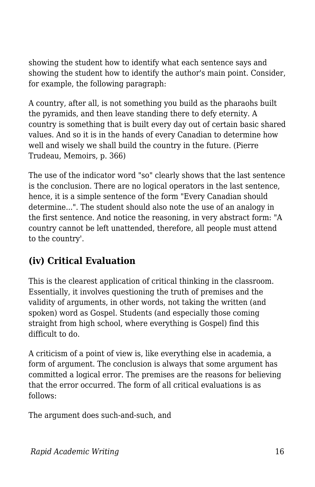showing the student how to identify what each sentence says and showing the student how to identify the author's main point. Consider, for example, the following paragraph:

A country, after all, is not something you build as the pharaohs built the pyramids, and then leave standing there to defy eternity. A country is something that is built every day out of certain basic shared values. And so it is in the hands of every Canadian to determine how well and wisely we shall build the country in the future. (Pierre Trudeau, Memoirs, p. 366)

The use of the indicator word "so" clearly shows that the last sentence is the conclusion. There are no logical operators in the last sentence, hence, it is a simple sentence of the form "Every Canadian should determine...". The student should also note the use of an analogy in the first sentence. And notice the reasoning, in very abstract form: "A country cannot be left unattended, therefore, all people must attend to the country'.

#### **(iv) Critical Evaluation**

This is the clearest application of critical thinking in the classroom. Essentially, it involves questioning the truth of premises and the validity of arguments, in other words, not taking the written (and spoken) word as Gospel. Students (and especially those coming straight from high school, where everything is Gospel) find this difficult to do.

A criticism of a point of view is, like everything else in academia, a form of argument. The conclusion is always that some argument has committed a logical error. The premises are the reasons for believing that the error occurred. The form of all critical evaluations is as follows:

The argument does such-and-such, and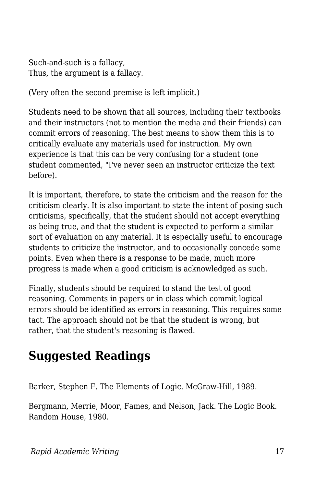Such-and-such is a fallacy, Thus, the argument is a fallacy.

(Very often the second premise is left implicit.)

Students need to be shown that all sources, including their textbooks and their instructors (not to mention the media and their friends) can commit errors of reasoning. The best means to show them this is to critically evaluate any materials used for instruction. My own experience is that this can be very confusing for a student (one student commented, "I've never seen an instructor criticize the text before).

It is important, therefore, to state the criticism and the reason for the criticism clearly. It is also important to state the intent of posing such criticisms, specifically, that the student should not accept everything as being true, and that the student is expected to perform a similar sort of evaluation on any material. It is especially useful to encourage students to criticize the instructor, and to occasionally concede some points. Even when there is a response to be made, much more progress is made when a good criticism is acknowledged as such.

Finally, students should be required to stand the test of good reasoning. Comments in papers or in class which commit logical errors should be identified as errors in reasoning. This requires some tact. The approach should not be that the student is wrong, but rather, that the student's reasoning is flawed.

## **Suggested Readings**

Barker, Stephen F. The Elements of Logic. McGraw-Hill, 1989.

Bergmann, Merrie, Moor, Fames, and Nelson, Jack. The Logic Book. Random House, 1980.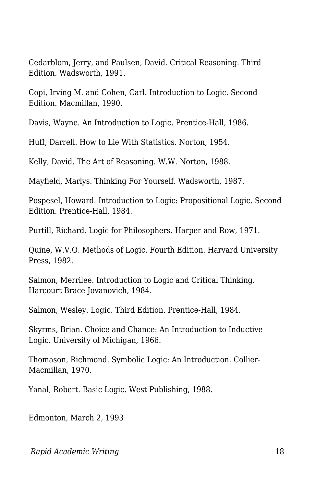Cedarblom, Jerry, and Paulsen, David. Critical Reasoning. Third Edition. Wadsworth, 1991.

Copi, Irving M. and Cohen, Carl. Introduction to Logic. Second Edition. Macmillan, 1990.

Davis, Wayne. An Introduction to Logic. Prentice-Hall, 1986.

Huff, Darrell. How to Lie With Statistics. Norton, 1954.

Kelly, David. The Art of Reasoning. W.W. Norton, 1988.

Mayfield, Marlys. Thinking For Yourself. Wadsworth, 1987.

Pospesel, Howard. Introduction to Logic: Propositional Logic. Second Edition. Prentice-Hall, 1984.

Purtill, Richard. Logic for Philosophers. Harper and Row, 1971.

Quine, W.V.O. Methods of Logic. Fourth Edition. Harvard University Press, 1982.

Salmon, Merrilee. Introduction to Logic and Critical Thinking. Harcourt Brace Jovanovich, 1984.

Salmon, Wesley. Logic. Third Edition. Prentice-Hall, 1984.

Skyrms, Brian. Choice and Chance: An Introduction to Inductive Logic. University of Michigan, 1966.

Thomason, Richmond. Symbolic Logic: An Introduction. Collier-Macmillan, 1970.

Yanal, Robert. Basic Logic. West Publishing, 1988.

Edmonton, March 2, 1993

*Rapid Academic Writing* 18